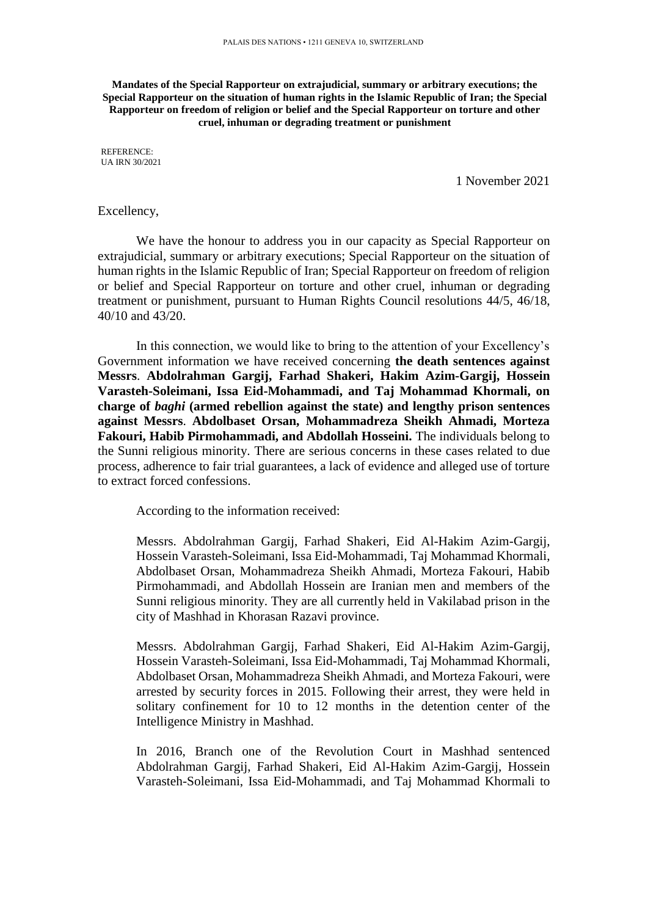**Mandates of the Special Rapporteur on extrajudicial, summary or arbitrary executions; the Special Rapporteur on the situation of human rights in the Islamic Republic of Iran; the Special Rapporteur on freedom of religion or belief and the Special Rapporteur on torture and other cruel, inhuman or degrading treatment or punishment**

REFERENCE: UA IRN 30/2021

1 November 2021

## Excellency,

We have the honour to address you in our capacity as Special Rapporteur on extrajudicial, summary or arbitrary executions; Special Rapporteur on the situation of human rights in the Islamic Republic of Iran; Special Rapporteur on freedom of religion or belief and Special Rapporteur on torture and other cruel, inhuman or degrading treatment or punishment, pursuant to Human Rights Council resolutions 44/5, 46/18, 40/10 and 43/20.

In this connection, we would like to bring to the attention of your Excellency's Government information we have received concerning **the death sentences against Messrs**. **Abdolrahman Gargij, Farhad Shakeri, Hakim Azim-Gargij, Hossein Varasteh-Soleimani, Issa Eid-Mohammadi, and Taj Mohammad Khormali, on charge of** *baghi* **(armed rebellion against the state) and lengthy prison sentences against Messrs**. **Abdolbaset Orsan, Mohammadreza Sheikh Ahmadi, Morteza Fakouri, Habib Pirmohammadi, and Abdollah Hosseini.** The individuals belong to the Sunni religious minority. There are serious concerns in these cases related to due process, adherence to fair trial guarantees, a lack of evidence and alleged use of torture to extract forced confessions.

According to the information received:

Messrs. Abdolrahman Gargij, Farhad Shakeri, Eid Al-Hakim Azim-Gargij, Hossein Varasteh-Soleimani, Issa Eid-Mohammadi, Taj Mohammad Khormali, Abdolbaset Orsan, Mohammadreza Sheikh Ahmadi, Morteza Fakouri, Habib Pirmohammadi, and Abdollah Hossein are Iranian men and members of the Sunni religious minority. They are all currently held in Vakilabad prison in the city of Mashhad in Khorasan Razavi province.

Messrs. Abdolrahman Gargij, Farhad Shakeri, Eid Al-Hakim Azim-Gargij, Hossein Varasteh-Soleimani, Issa Eid-Mohammadi, Taj Mohammad Khormali, Abdolbaset Orsan, Mohammadreza Sheikh Ahmadi, and Morteza Fakouri, were arrested by security forces in 2015. Following their arrest, they were held in solitary confinement for 10 to 12 months in the detention center of the Intelligence Ministry in Mashhad.

In 2016, Branch one of the Revolution Court in Mashhad sentenced Abdolrahman Gargij, Farhad Shakeri, Eid Al-Hakim Azim-Gargij, Hossein Varasteh-Soleimani, Issa Eid-Mohammadi, and Taj Mohammad Khormali to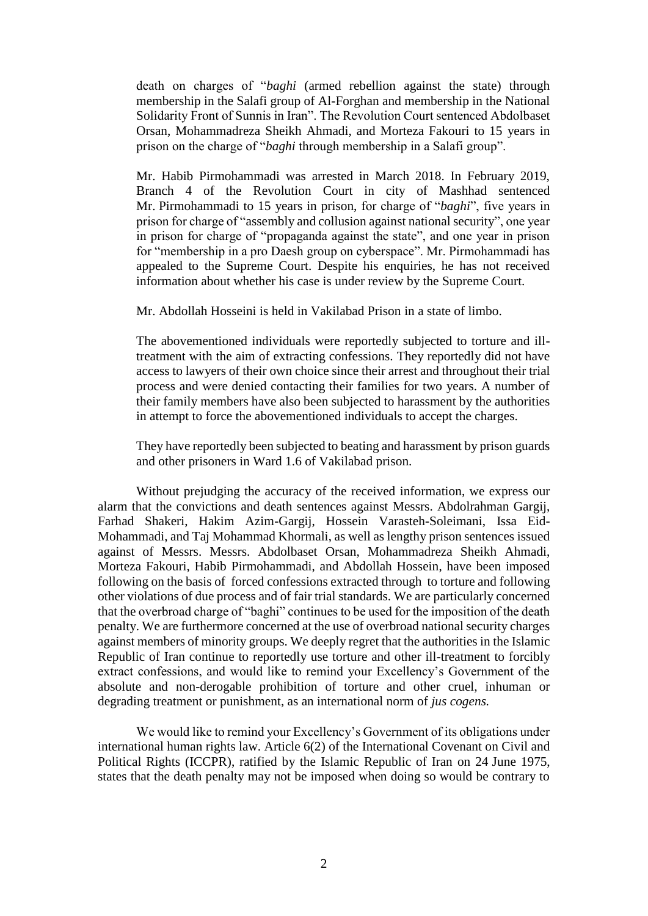death on charges of "*baghi* (armed rebellion against the state) through membership in the Salafi group of Al-Forghan and membership in the National Solidarity Front of Sunnis in Iran". The Revolution Court sentenced Abdolbaset Orsan, Mohammadreza Sheikh Ahmadi, and Morteza Fakouri to 15 years in prison on the charge of "*baghi* through membership in a Salafi group".

Mr. Habib Pirmohammadi was arrested in March 2018. In February 2019, Branch 4 of the Revolution Court in city of Mashhad sentenced Mr. Pirmohammadi to 15 years in prison, for charge of "*baghi*", five years in prison for charge of "assembly and collusion against national security", one year in prison for charge of "propaganda against the state", and one year in prison for "membership in a pro Daesh group on cyberspace". Mr. Pirmohammadi has appealed to the Supreme Court. Despite his enquiries, he has not received information about whether his case is under review by the Supreme Court.

Mr. Abdollah Hosseini is held in Vakilabad Prison in a state of limbo.

The abovementioned individuals were reportedly subjected to torture and illtreatment with the aim of extracting confessions. They reportedly did not have access to lawyers of their own choice since their arrest and throughout their trial process and were denied contacting their families for two years. A number of their family members have also been subjected to harassment by the authorities in attempt to force the abovementioned individuals to accept the charges.

They have reportedly been subjected to beating and harassment by prison guards and other prisoners in Ward 1.6 of Vakilabad prison.

Without prejudging the accuracy of the received information, we express our alarm that the convictions and death sentences against Messrs. Abdolrahman Gargij, Farhad Shakeri, Hakim Azim-Gargij, Hossein Varasteh-Soleimani, Issa Eid-Mohammadi, and Taj Mohammad Khormali, as well as lengthy prison sentences issued against of Messrs. Messrs. Abdolbaset Orsan, Mohammadreza Sheikh Ahmadi, Morteza Fakouri, Habib Pirmohammadi, and Abdollah Hossein, have been imposed following on the basis of forced confessions extracted through to torture and following other violations of due process and of fair trial standards. We are particularly concerned that the overbroad charge of "baghi" continues to be used for the imposition of the death penalty. We are furthermore concerned at the use of overbroad national security charges against members of minority groups. We deeply regret that the authorities in the Islamic Republic of Iran continue to reportedly use torture and other ill-treatment to forcibly extract confessions, and would like to remind your Excellency's Government of the absolute and non-derogable prohibition of torture and other cruel, inhuman or degrading treatment or punishment, as an international norm of *jus cogens.*

We would like to remind your Excellency's Government of its obligations under international human rights law. Article 6(2) of the International Covenant on Civil and Political Rights (ICCPR), ratified by the Islamic Republic of Iran on 24 June 1975, states that the death penalty may not be imposed when doing so would be contrary to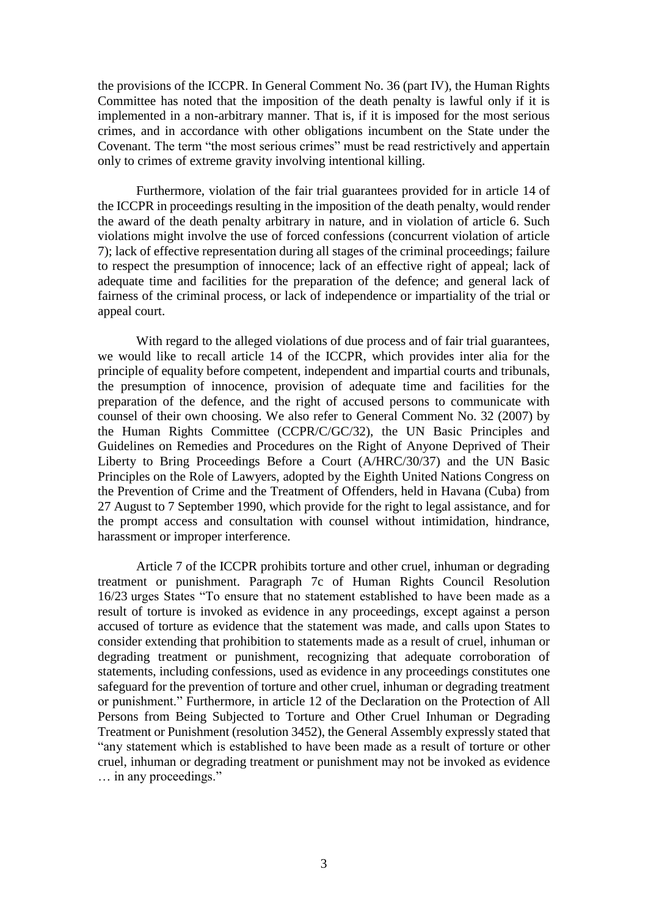the provisions of the ICCPR. In General Comment No. 36 (part IV), the Human Rights Committee has noted that the imposition of the death penalty is lawful only if it is implemented in a non-arbitrary manner. That is, if it is imposed for the most serious crimes, and in accordance with other obligations incumbent on the State under the Covenant. The term "the most serious crimes" must be read restrictively and appertain only to crimes of extreme gravity involving intentional killing.

Furthermore, violation of the fair trial guarantees provided for in article 14 of the ICCPR in proceedings resulting in the imposition of the death penalty, would render the award of the death penalty arbitrary in nature, and in violation of article 6. Such violations might involve the use of forced confessions (concurrent violation of article 7); lack of effective representation during all stages of the criminal proceedings; failure to respect the presumption of innocence; lack of an effective right of appeal; lack of adequate time and facilities for the preparation of the defence; and general lack of fairness of the criminal process, or lack of independence or impartiality of the trial or appeal court.

With regard to the alleged violations of due process and of fair trial guarantees, we would like to recall article 14 of the ICCPR, which provides inter alia for the principle of equality before competent, independent and impartial courts and tribunals, the presumption of innocence, provision of adequate time and facilities for the preparation of the defence, and the right of accused persons to communicate with counsel of their own choosing. We also refer to General Comment No. 32 (2007) by the Human Rights Committee (CCPR/C/GC/32), the UN Basic Principles and Guidelines on Remedies and Procedures on the Right of Anyone Deprived of Their Liberty to Bring Proceedings Before a Court (A/HRC/30/37) and the UN Basic Principles on the Role of Lawyers, adopted by the Eighth United Nations Congress on the Prevention of Crime and the Treatment of Offenders, held in Havana (Cuba) from 27 August to 7 September 1990, which provide for the right to legal assistance, and for the prompt access and consultation with counsel without intimidation, hindrance, harassment or improper interference.

Article 7 of the ICCPR prohibits torture and other cruel, inhuman or degrading treatment or punishment. Paragraph 7c of Human Rights Council Resolution 16/23 urges States "To ensure that no statement established to have been made as a result of torture is invoked as evidence in any proceedings, except against a person accused of torture as evidence that the statement was made, and calls upon States to consider extending that prohibition to statements made as a result of cruel, inhuman or degrading treatment or punishment, recognizing that adequate corroboration of statements, including confessions, used as evidence in any proceedings constitutes one safeguard for the prevention of torture and other cruel, inhuman or degrading treatment or punishment." Furthermore, in article 12 of the Declaration on the Protection of All Persons from Being Subjected to Torture and Other Cruel Inhuman or Degrading Treatment or Punishment (resolution 3452), the General Assembly expressly stated that "any statement which is established to have been made as a result of torture or other cruel, inhuman or degrading treatment or punishment may not be invoked as evidence … in any proceedings."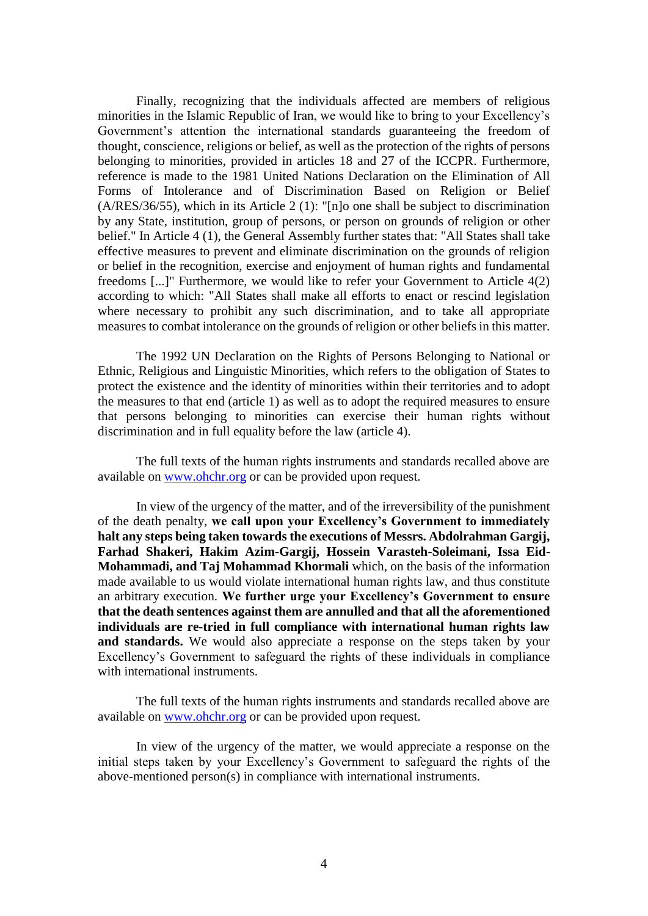Finally, recognizing that the individuals affected are members of religious minorities in the Islamic Republic of Iran, we would like to bring to your Excellency's Government's attention the international standards guaranteeing the freedom of thought, conscience, religions or belief, as well as the protection of the rights of persons belonging to minorities, provided in articles 18 and 27 of the ICCPR. Furthermore, reference is made to the 1981 United Nations Declaration on the Elimination of All Forms of Intolerance and of Discrimination Based on Religion or Belief (A/RES/36/55), which in its Article 2 (1): "[n]o one shall be subject to discrimination by any State, institution, group of persons, or person on grounds of religion or other belief." In Article 4 (1), the General Assembly further states that: "All States shall take effective measures to prevent and eliminate discrimination on the grounds of religion or belief in the recognition, exercise and enjoyment of human rights and fundamental freedoms [...]" Furthermore, we would like to refer your Government to Article 4(2) according to which: "All States shall make all efforts to enact or rescind legislation where necessary to prohibit any such discrimination, and to take all appropriate measures to combat intolerance on the grounds of religion or other beliefs in this matter.

The 1992 UN Declaration on the Rights of Persons Belonging to National or Ethnic, Religious and Linguistic Minorities, which refers to the obligation of States to protect the existence and the identity of minorities within their territories and to adopt the measures to that end (article 1) as well as to adopt the required measures to ensure that persons belonging to minorities can exercise their human rights without discrimination and in full equality before the law (article 4).

The full texts of the human rights instruments and standards recalled above are available on [www.ohchr.org](http://www.ohchr.org/) or can be provided upon request.

In view of the urgency of the matter, and of the irreversibility of the punishment of the death penalty, **we call upon your Excellency's Government to immediately halt any steps being taken towards the executions of Messrs. Abdolrahman Gargij, Farhad Shakeri, Hakim Azim-Gargij, Hossein Varasteh-Soleimani, Issa Eid-Mohammadi, and Taj Mohammad Khormali** which, on the basis of the information made available to us would violate international human rights law, and thus constitute an arbitrary execution. **We further urge your Excellency's Government to ensure that the death sentences against them are annulled and that all the aforementioned individuals are re-tried in full compliance with international human rights law**  and standards. We would also appreciate a response on the steps taken by your Excellency's Government to safeguard the rights of these individuals in compliance with international instruments.

The full texts of the human rights instruments and standards recalled above are available on [www.ohchr.org](http://www.ohchr.org/) or can be provided upon request.

In view of the urgency of the matter, we would appreciate a response on the initial steps taken by your Excellency's Government to safeguard the rights of the above-mentioned person(s) in compliance with international instruments.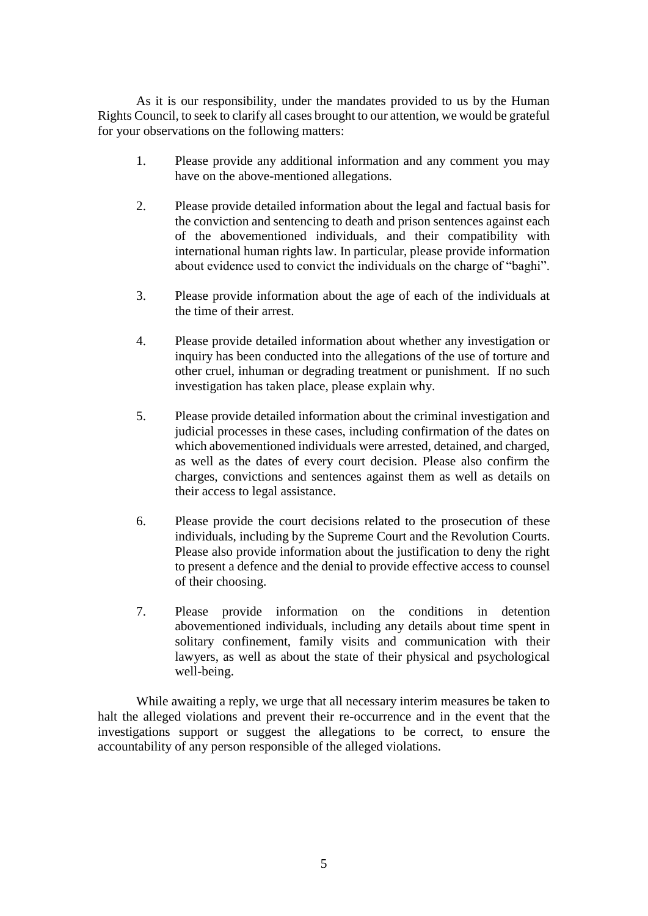As it is our responsibility, under the mandates provided to us by the Human Rights Council, to seek to clarify all cases brought to our attention, we would be grateful for your observations on the following matters:

- 1. Please provide any additional information and any comment you may have on the above-mentioned allegations.
- 2. Please provide detailed information about the legal and factual basis for the conviction and sentencing to death and prison sentences against each of the abovementioned individuals, and their compatibility with international human rights law. In particular, please provide information about evidence used to convict the individuals on the charge of "baghi".
- 3. Please provide information about the age of each of the individuals at the time of their arrest.
- 4. Please provide detailed information about whether any investigation or inquiry has been conducted into the allegations of the use of torture and other cruel, inhuman or degrading treatment or punishment. If no such investigation has taken place, please explain why.
- 5. Please provide detailed information about the criminal investigation and judicial processes in these cases, including confirmation of the dates on which abovementioned individuals were arrested, detained, and charged, as well as the dates of every court decision. Please also confirm the charges, convictions and sentences against them as well as details on their access to legal assistance.
- 6. Please provide the court decisions related to the prosecution of these individuals, including by the Supreme Court and the Revolution Courts. Please also provide information about the justification to deny the right to present a defence and the denial to provide effective access to counsel of their choosing.
- 7. Please provide information on the conditions in detention abovementioned individuals, including any details about time spent in solitary confinement, family visits and communication with their lawyers, as well as about the state of their physical and psychological well-being.

While awaiting a reply, we urge that all necessary interim measures be taken to halt the alleged violations and prevent their re-occurrence and in the event that the investigations support or suggest the allegations to be correct, to ensure the accountability of any person responsible of the alleged violations.